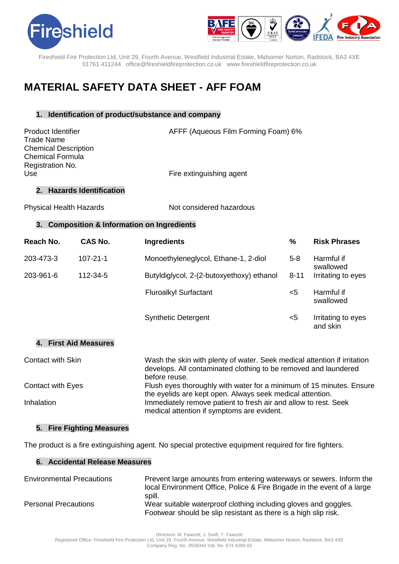



Fireshield Fire Protection Ltd, Unit 29, Fourth Avenue, Westfield Industrial Estate, Midsomer Norton, Radstock, BA3 4XE 01761 411244 office@fireshieldfireprotection.co.uk [www.fireshieldfireprotection.co.uk](http://www.fireshieldfireprotection.co.uk/)

# **MATERIAL SAFETY DATA SHEET - AFF FOAM**

# **1. Identification of product/substance and company**

| <b>Product Identifier</b>     | AFFF (Aqueous Film Forming Foam) 6% |
|-------------------------------|-------------------------------------|
| Trade Name                    |                                     |
| <b>Chemical Description</b>   |                                     |
| Chemical Formula              |                                     |
| Registration No.              |                                     |
| Use                           | Fire extinguishing agent            |
| <b>Hazards Identification</b> |                                     |

Physical Health Hazards Not considered hazardous

# **3. Composition & Information on Ingredients**

| Reach No. | CAS No.        | <b>Ingredients</b>                        | %        | <b>Risk Phrases</b>            |
|-----------|----------------|-------------------------------------------|----------|--------------------------------|
| 203-473-3 | $107 - 21 - 1$ | Monoethyleneglycol, Ethane-1, 2-diol      | $5-8$    | Harmful if<br>swallowed        |
| 203-961-6 | 112-34-5       | Butyldiglycol, 2-(2-butoxyethoxy) ethanol | $8 - 11$ | Irritating to eyes             |
|           |                | <b>Fluroalkyl Surfactant</b>              | $<$ 5    | Harmful if<br>swallowed        |
|           |                | <b>Synthetic Detergent</b>                | <5       | Irritating to eyes<br>and skin |

## **4. First Aid Measures**

| <b>Contact with Skin</b> | Wash the skin with plenty of water. Seek medical attention if irritation<br>develops. All contaminated clothing to be removed and laundered<br>before reuse. |
|--------------------------|--------------------------------------------------------------------------------------------------------------------------------------------------------------|
| <b>Contact with Eyes</b> | Flush eyes thoroughly with water for a minimum of 15 minutes. Ensure<br>the eyelids are kept open. Always seek medical attention.                            |
| Inhalation               | Immediately remove patient to fresh air and allow to rest. Seek<br>medical attention if symptoms are evident.                                                |

#### **5. Fire Fighting Measures**

The product is a fire extinguishing agent. No special protective equipment required for fire fighters.

## **6. Accidental Release Measures**

| <b>Environmental Precautions</b> | Prevent large amounts from entering waterways or sewers. Inform the                                                                |
|----------------------------------|------------------------------------------------------------------------------------------------------------------------------------|
|                                  | local Environment Office, Police & Fire Brigade in the event of a large<br>spill.                                                  |
| <b>Personal Precautions</b>      | Wear suitable waterproof clothing including gloves and goggles.<br>Footwear should be slip resistant as there is a high slip risk. |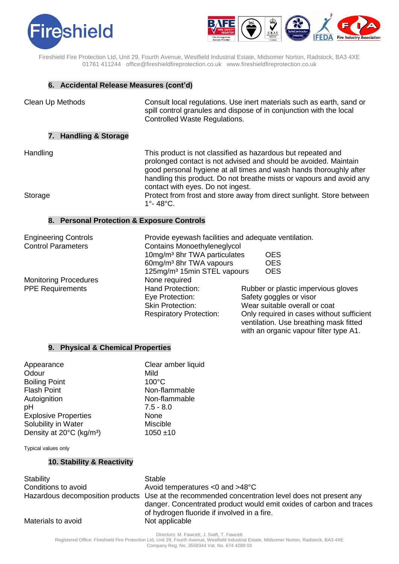



Fireshield Fire Protection Ltd, Unit 29, Fourth Avenue, Westfield Industrial Estate, Midsomer Norton, Radstock, BA3 4XE 01761 411244 office@fireshieldfireprotection.co.uk [www.fireshieldfireprotection.co.uk](http://www.fireshieldfireprotection.co.uk/)

# **6. Accidental Release Measures (cont'd)**

| Clean Up Methods                                         | Controlled Waste Regulations.                                                                                              | Consult local regulations. Use inert materials such as earth, sand or<br>spill control granules and dispose of in conjunction with the local                                                                                                                                   |
|----------------------------------------------------------|----------------------------------------------------------------------------------------------------------------------------|--------------------------------------------------------------------------------------------------------------------------------------------------------------------------------------------------------------------------------------------------------------------------------|
| 7. Handling & Storage                                    |                                                                                                                            |                                                                                                                                                                                                                                                                                |
| Handling                                                 | contact with eyes. Do not ingest.                                                                                          | This product is not classified as hazardous but repeated and<br>prolonged contact is not advised and should be avoided. Maintain<br>good personal hygiene at all times and wash hands thoroughly after<br>handling this product. Do not breathe mists or vapours and avoid any |
| Storage                                                  | 1°-48°C.                                                                                                                   | Protect from frost and store away from direct sunlight. Store between                                                                                                                                                                                                          |
| 8. Personal Protection & Exposure Controls               |                                                                                                                            |                                                                                                                                                                                                                                                                                |
| <b>Engineering Controls</b><br><b>Control Parameters</b> | Provide eyewash facilities and adequate ventilation.<br><b>Contains Monoethyleneglycol</b>                                 |                                                                                                                                                                                                                                                                                |
|                                                          | 10mg/m <sup>3</sup> 8hr TWA particulates<br>60mg/m <sup>3</sup> 8hr TWA vapours<br>125mg/m <sup>3</sup> 15min STEL vapours | <b>OES</b><br><b>OES</b><br><b>OES</b>                                                                                                                                                                                                                                         |
| <b>Monitoring Procedures</b><br><b>PPE Requirements</b>  | None required<br>Hand Protection:<br>Eve Protection:                                                                       | Rubber or plastic impervious gloves<br>Safaty angales or visor                                                                                                                                                                                                                 |

| <b>Engineering Controls</b>  | Provide eyewash facilities and adequate ventilation. |                                                                                                                               |
|------------------------------|------------------------------------------------------|-------------------------------------------------------------------------------------------------------------------------------|
| <b>Control Parameters</b>    | <b>Contains Monoethyleneglycol</b>                   |                                                                                                                               |
|                              | 10mg/m <sup>3</sup> 8hr TWA particulates             | <b>OES</b>                                                                                                                    |
|                              | 60mg/m <sup>3</sup> 8hr TWA vapours                  | <b>OES</b>                                                                                                                    |
|                              | 125mg/m <sup>3</sup> 15min STEL vapours              | <b>OES</b>                                                                                                                    |
| <b>Monitoring Procedures</b> | None required                                        |                                                                                                                               |
| <b>PPE Requirements</b>      | <b>Hand Protection:</b>                              | Rubber or plastic impervious gloves                                                                                           |
|                              | Eye Protection:                                      | Safety goggles or visor                                                                                                       |
|                              | <b>Skin Protection:</b>                              | Wear suitable overall or coat                                                                                                 |
|                              | <b>Respiratory Protection:</b>                       | Only required in cases without sufficient<br>ventilation. Use breathing mask fitted<br>with an organic vapour filter type A1. |

#### **9. Physical & Chemical Properties**

| Appearance                           | Clear amber liquid |
|--------------------------------------|--------------------|
| Odour                                | Mild               |
| <b>Boiling Point</b>                 | $100^{\circ}$ C    |
| <b>Flash Point</b>                   | Non-flammable      |
| Autoignition                         | Non-flammable      |
| pH                                   | $7.5 - 8.0$        |
| <b>Explosive Properties</b>          | None               |
| Solubility in Water                  | <b>Miscible</b>    |
| Density at 20°C (kg/m <sup>3</sup> ) | $1050 + 10$        |
|                                      |                    |

Typical values only

# **10. Stability & Reactivity**

| Stability           | <b>Stable</b>                                                                                                                                                                                                          |
|---------------------|------------------------------------------------------------------------------------------------------------------------------------------------------------------------------------------------------------------------|
| Conditions to avoid | Avoid temperatures $<$ 0 and $>$ 48 $^{\circ}$ C                                                                                                                                                                       |
|                     | Hazardous decomposition products Use at the recommended concentration level does not present any<br>danger. Concentrated product would emit oxides of carbon and traces<br>of hydrogen fluoride if involved in a fire. |
| Materials to avoid  | Not applicable                                                                                                                                                                                                         |

 Directors: M. Fawcett, J. Swift, T. Fawcett Registered Office: Fireshield Fire Protection Ltd, Unit 29, Fourth Avenue, Westfield Industrial Estate, Midsomer Norton, Radstock, BA3 4XE

Company Reg. No. 3558344 Vat. No. 674 4289 03